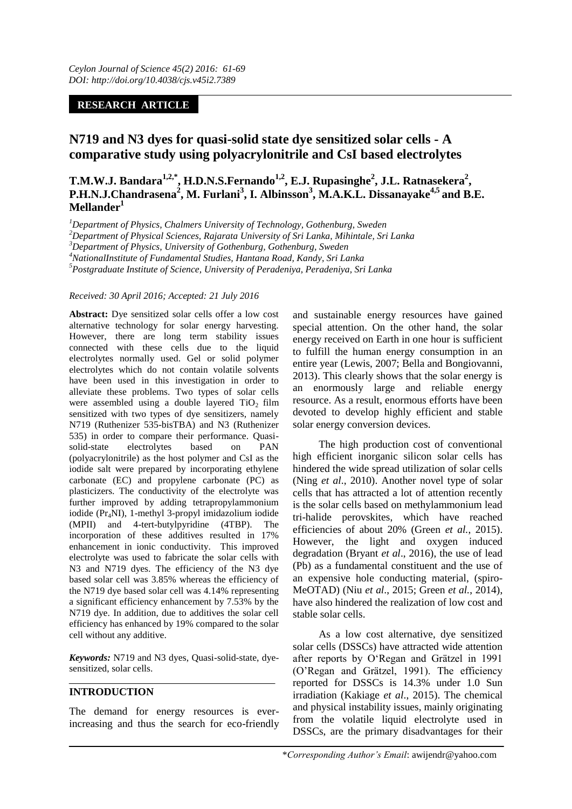# **RESEARCH ARTICLE**

# **N719 and N3 dyes for quasi-solid state dye sensitized solar cells - A comparative study using polyacrylonitrile and CsI based electrolytes**

**T.M.W.J. Bandara1,2,\*, H.D.N.S.Fernando1,2, E.J. Rupasinghe<sup>2</sup> , J.L. Ratnasekera<sup>2</sup> , P.H.N.J.Chandrasena<sup>2</sup> , M. Furlani<sup>3</sup> , I. Albinsson<sup>3</sup> , M.A.K.L. Dissanayake4,5 and B.E. Mellander<sup>1</sup>**

*<sup>1</sup>Department of Physics, Chalmers University of Technology, Gothenburg, Sweden*

*<sup>2</sup>Department of Physical Sciences, Rajarata University of Sri Lanka, Mihintale, Sri Lanka*

*<sup>3</sup>Department of Physics, University of Gothenburg, Gothenburg, Sweden*

*<sup>4</sup>NationalInstitute of Fundamental Studies, Hantana Road, Kandy, Sri Lanka*

*<sup>5</sup>Postgraduate Institute of Science, University of Peradeniya, Peradeniya, Sri Lanka*

#### *Received: 30 April 2016; Accepted: 21 July 2016*

**Abstract:** Dye sensitized solar cells offer a low cost alternative technology for solar energy harvesting. However, there are long term stability issues connected with these cells due to the liquid electrolytes normally used. Gel or solid polymer electrolytes which do not contain volatile solvents have been used in this investigation in order to alleviate these problems. Two types of solar cells were assembled using a double layered  $TiO<sub>2</sub> film$ sensitized with two types of dye sensitizers, namely N719 (Ruthenizer 535-bisTBA) and N3 (Ruthenizer 535) in order to compare their performance. Quasisolid-state electrolytes based on PAN (polyacrylonitrile) as the host polymer and CsI as the iodide salt were prepared by incorporating ethylene carbonate (EC) and propylene carbonate (PC) as plasticizers. The conductivity of the electrolyte was further improved by adding tetrapropylammonium iodide (Pr<sub>4</sub>NI), 1-methyl 3-propyl imidazolium iodide (MPII) and 4-tert-butylpyridine (4TBP). The (MPII) and 4-tert-butylpyridine (4TBP). The incorporation of these additives resulted in 17% enhancement in ionic conductivity. This improved electrolyte was used to fabricate the solar cells with N3 and N719 dyes. The efficiency of the N3 dye based solar cell was 3.85% whereas the efficiency of the N719 dye based solar cell was 4.14% representing a significant efficiency enhancement by 7.53% by the N719 dye. In addition, due to additives the solar cell efficiency has enhanced by 19% compared to the solar cell without any additive.

*Keywords:* N719 and N3 dyes, Quasi-solid-state, dyesensitized, solar cells.

## **INTRODUCTION**

The demand for energy resources is everincreasing and thus the search for eco-friendly

and sustainable energy resources have gained special attention. On the other hand, the solar energy received on Earth in one hour is sufficient to fulfill the human energy consumption in an entire year (Lewis, 2007; Bella and Bongiovanni, 2013). This clearly shows that the solar energy is an enormously large and reliable energy resource. As a result, enormous efforts have been devoted to develop highly efficient and stable solar energy conversion devices.

The high production cost of conventional high efficient inorganic silicon solar cells has hindered the wide spread utilization of solar cells (Ning *et al*., 2010). Another novel type of solar cells that has attracted a lot of attention recently is the solar cells based on methylammonium lead tri-halide perovskites, which have reached efficiencies of about 20% (Green *et al.*, 2015). However, the light and oxygen induced degradation (Bryant *et al*., 2016), the use of lead (Pb) as a fundamental constituent and the use of an expensive hole conducting material, (spiro-MeOTAD) (Niu *et al*., 2015; Green *et al.*, 2014), have also hindered the realization of low cost and stable solar cells.

As a low cost alternative, dye sensitized solar cells (DSSCs) have attracted wide attention after reports by O'Regan and Grätzel in 1991 (O'Regan and Grätzel, 1991). The efficiency reported for DSSCs is 14.3% under 1.0 Sun irradiation (Kakiage *et al*., 2015). The chemical and physical instability issues, mainly originating from the volatile liquid electrolyte used in DSSCs, are the primary disadvantages for their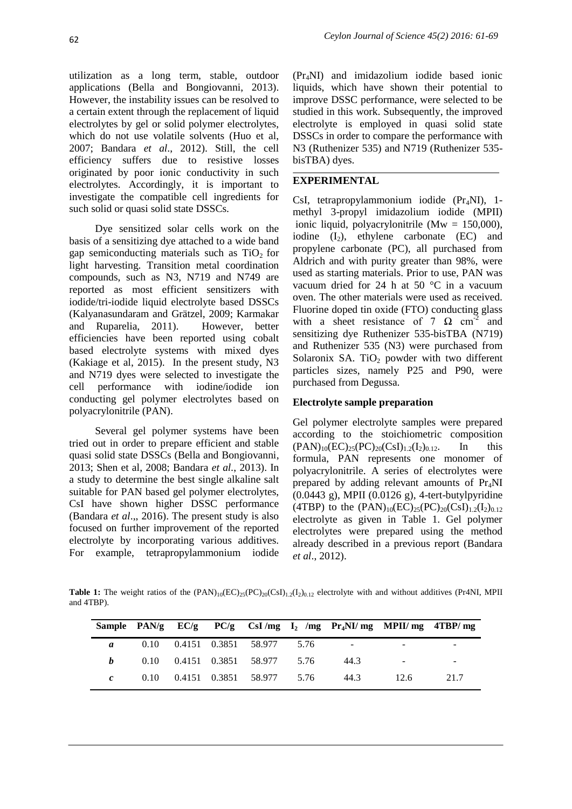utilization as a long term, stable, outdoor applications (Bella and Bongiovanni, 2013). However, the instability issues can be resolved to a certain extent through the replacement of liquid electrolytes by gel or solid polymer electrolytes, which do not use volatile solvents (Huo et al, 2007; Bandara *et al*., 2012). Still, the cell efficiency suffers due to resistive losses originated by poor ionic conductivity in such electrolytes. Accordingly, it is important to investigate the compatible cell ingredients for such solid or quasi solid state DSSCs.

Dye sensitized solar cells work on the basis of a sensitizing dye attached to a wide band gap semiconducting materials such as  $TiO<sub>2</sub>$  for light harvesting. Transition metal coordination compounds, such as N3, N719 and N749 are reported as most efficient sensitizers with iodide/tri-iodide liquid electrolyte based DSSCs (Kalyanasundaram and Grätzel, 2009; Karmakar and Ruparelia, 2011). However, better efficiencies have been reported using cobalt based electrolyte systems with mixed dyes (Kakiage et al, 2015). In the present study, N3 and N719 dyes were selected to investigate the cell performance with iodine/iodide ion conducting gel polymer electrolytes based on polyacrylonitrile (PAN).

Several gel polymer systems have been tried out in order to prepare efficient and stable quasi solid state DSSCs (Bella and Bongiovanni, 2013; Shen et al, 2008; Bandara *et al.*, 2013). In a study to determine the best single alkaline salt suitable for PAN based gel polymer electrolytes, CsI have shown higher DSSC performance (Bandara *et al*.,, 2016). The present study is also focused on further improvement of the reported electrolyte by incorporating various additives. For example, tetrapropylammonium iodide

(Pr4NI) and imidazolium iodide based ionic liquids, which have shown their potential to improve DSSC performance, were selected to be studied in this work. Subsequently, the improved electrolyte is employed in quasi solid state DSSCs in order to compare the performance with N3 (Ruthenizer 535) and N719 (Ruthenizer 535 bisTBA) dyes.

# **EXPERIMENTAL**

CsI, tetrapropylammonium iodide (Pr<sub>4</sub>NI), 1methyl 3-propyl imidazolium iodide (MPII) ionic liquid, polyacrylonitrile (Mw = 150,000), iodine  $(I_2)$ , ethylene carbonate  $(EC)$  and propylene carbonate (PC), all purchased from Aldrich and with purity greater than 98%, were used as starting materials. Prior to use, PAN was vacuum dried for 24 h at 50  $\degree$ C in a vacuum oven. The other materials were used as received. Fluorine doped tin oxide (FTO) conducting glass with a sheet resistance of 7  $\Omega$  cm<sup>-2</sup> and sensitizing dye Ruthenizer 535-bisTBA (N719) and Ruthenizer 535 (N3) were purchased from Solaronix SA. TiO<sub>2</sub> powder with two different particles sizes, namely P25 and P90, were purchased from Degussa.

# **Electrolyte sample preparation**

Gel polymer electrolyte samples were prepared according to the stoichiometric composition  $(PAN)_{10}(EC)_{25}(PC)_{20}(CsI)_{1.2}(I_2)_{0.12}$ . In this formula, PAN represents one monomer of polyacrylonitrile. A series of electrolytes were prepared by adding relevant amounts of  $Pr_4NI$ (0.0443 g), MPII (0.0126 g), 4-tert-butylpyridine (4TBP) to the  $(PAN)_{10}(EC)_{25}(PC)_{20}(CsI)_{1.2}(I_2)_{0.12}$ electrolyte as given in Table 1. Gel polymer electrolytes were prepared using the method already described in a previous report (Bandara *et al*., 2012).

**Table 1:** The weight ratios of the  $(PAN)_{10}(EC)_{25}(PC)_{20}(CSI)_{1.2}(I_2)_{0.12}$  electrolyte with and without additives (Pr4NI, MPII and 4TBP).

|   |      |  |                        |      | Sample PAN/g $EC/g$ PC/g CsI/mg I <sub>2</sub> /mg Pr <sub>4</sub> NI/mg MPII/mg 4TBP/mg |      |        |
|---|------|--|------------------------|------|------------------------------------------------------------------------------------------|------|--------|
| a | 0.10 |  | 0.4151 0.3851 58.977   | 5.76 |                                                                                          |      |        |
|   | 0.10 |  | 0.4151 0.3851 58.977   | 5.76 | 44.3                                                                                     |      | $\sim$ |
|   | 0.10 |  | 0.4151  0.3851  58.977 | 5.76 | 44.3                                                                                     | 12.6 | 21.7   |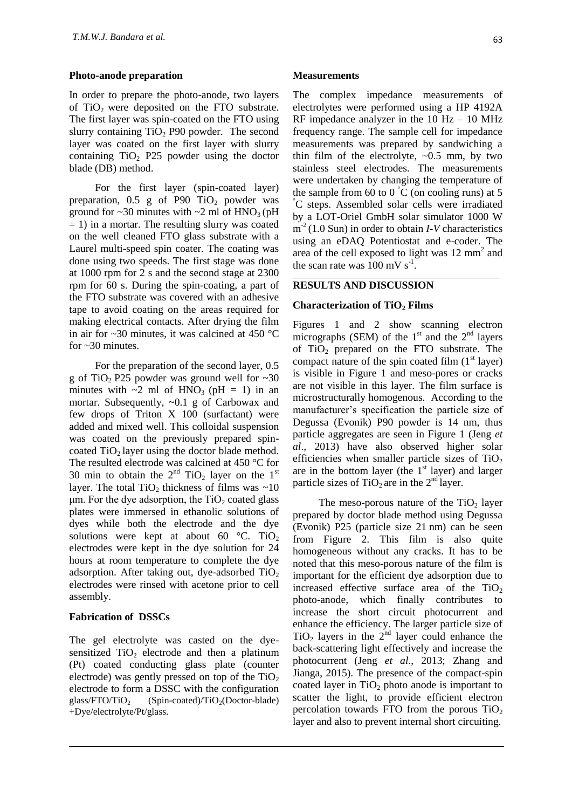#### **Photo-anode preparation**

In order to prepare the photo-anode, two layers of  $TiO<sub>2</sub>$  were deposited on the FTO substrate. The first layer was spin-coated on the FTO using slurry containing  $TiO<sub>2</sub>$  P90 powder. The second layer was coated on the first layer with slurry containing  $TiO<sub>2</sub>$  P25 powder using the doctor blade (DB) method.

For the first layer (spin-coated layer) preparation,  $0.5$  g of P90 TiO<sub>2</sub> powder was ground for  $\sim$ 30 minutes with  $\sim$ 2 ml of HNO<sub>3</sub> (pH  $= 1$ ) in a mortar. The resulting slurry was coated on the well cleaned FTO glass substrate with a Laurel multi-speed spin coater. The coating was done using two speeds. The first stage was done at 1000 rpm for 2 s and the second stage at 2300 rpm for 60 s. During the spin-coating, a part of the FTO substrate was covered with an adhesive tape to avoid coating on the areas required for making electrical contacts. After drying the film in air for  $\sim$ 30 minutes, it was calcined at 450 °C for  $\sim$ 30 minutes.

For the preparation of the second layer, 0.5 g of TiO<sub>2</sub> P25 powder was ground well for  $\sim 30$ minutes with  $\sim$ 2 ml of HNO<sub>3</sub> (pH = 1) in an mortar. Subsequently, ~0.1 g of Carbowax and few drops of Triton X 100 (surfactant) were added and mixed well. This colloidal suspension was coated on the previously prepared spincoated  $TiO<sub>2</sub>$  layer using the doctor blade method. The resulted electrode was calcined at 450 °C for 30 min to obtain the  $2<sup>nd</sup> TiO<sub>2</sub> layer on the 1<sup>st</sup>$ layer. The total TiO<sub>2</sub> thickness of films was  $\sim$ 10  $\mu$ m. For the dye adsorption, the TiO<sub>2</sub> coated glass plates were immersed in ethanolic solutions of dyes while both the electrode and the dye solutions were kept at about 60  $\degree$ C. TiO<sub>2</sub> electrodes were kept in the dye solution for 24 hours at room temperature to complete the dye adsorption. After taking out, dye-adsorbed  $TiO<sub>2</sub>$ electrodes were rinsed with acetone prior to cell assembly.

### **Fabrication of DSSCs**

The gel electrolyte was casted on the dyesensitized  $TiO<sub>2</sub>$  electrode and then a platinum (Pt) coated conducting glass plate (counter electrode) was gently pressed on top of the  $TiO<sub>2</sub>$ electrode to form a DSSC with the configuration glass/FTO/TiO<sub>2</sub> (Spin-coated)/TiO<sub>2</sub>(Doctor-blade) +Dye/electrolyte/Pt/glass.

#### **Measurements**

The complex impedance measurements of electrolytes were performed using a HP 4192A RF impedance analyzer in the  $10$  Hz  $- 10$  MHz frequency range. The sample cell for impedance measurements was prepared by sandwiching a thin film of the electrolyte,  $\sim 0.5$  mm, by two stainless steel electrodes. The measurements were undertaken by changing the temperature of the sample from 60 to 0  $\degree$ C (on cooling runs) at 5 °C steps. Assembled solar cells were irradiated by a LOT-Oriel GmbH solar simulator 1000 W m<sup>-2</sup> (1.0 Sun) in order to obtain *I-V* characteristics using an eDAQ Potentiostat and e-coder. The area of the cell exposed to light was 12 mm<sup>2</sup> and the scan rate was  $100 \text{ mV s}^{-1}$ .

### **RESULTS AND DISCUSSION**

#### **Characterization of TiO<sup>2</sup> Films**

Figures 1 and 2 show scanning electron micrographs (SEM) of the  $1<sup>st</sup>$  and the  $2<sup>nd</sup>$  layers of  $TiO<sub>2</sub>$  prepared on the FTO substrate. The compact nature of the spin coated film  $(1<sup>st</sup> layer)$ is visible in Figure 1 and meso-pores or cracks are not visible in this layer. The film surface is microstructurally homogenous. According to the manufacturer's specification the particle size of Degussa (Evonik) P90 powder is 14 nm, thus particle aggregates are seen in Figure 1 (Jeng *et al*., 2013) have also observed higher solar efficiencies when smaller particle sizes of  $TiO<sub>2</sub>$ are in the bottom layer (the  $1<sup>st</sup>$  layer) and larger particle sizes of  $TiO<sub>2</sub>$  are in the  $2<sup>nd</sup>$  layer.

The meso-porous nature of the  $TiO<sub>2</sub>$  layer prepared by doctor blade method using Degussa (Evonik) P25 (particle size 21 nm) can be seen from Figure 2. This film is also quite homogeneous without any cracks. It has to be noted that this meso-porous nature of the film is important for the efficient dye adsorption due to increased effective surface area of the  $TiO<sub>2</sub>$ photo-anode, which finally contributes to increase the short circuit photocurrent and enhance the efficiency. The larger particle size of  $TiO<sub>2</sub>$  layers in the  $2<sup>nd</sup>$  layer could enhance the back-scattering light effectively and increase the photocurrent (Jeng *et al*., 2013; Zhang and Jianga, 2015). The presence of the compact-spin coated layer in  $TiO<sub>2</sub>$  photo anode is important to scatter the light, to provide efficient electron percolation towards FTO from the porous  $TiO<sub>2</sub>$ layer and also to prevent internal short circuiting.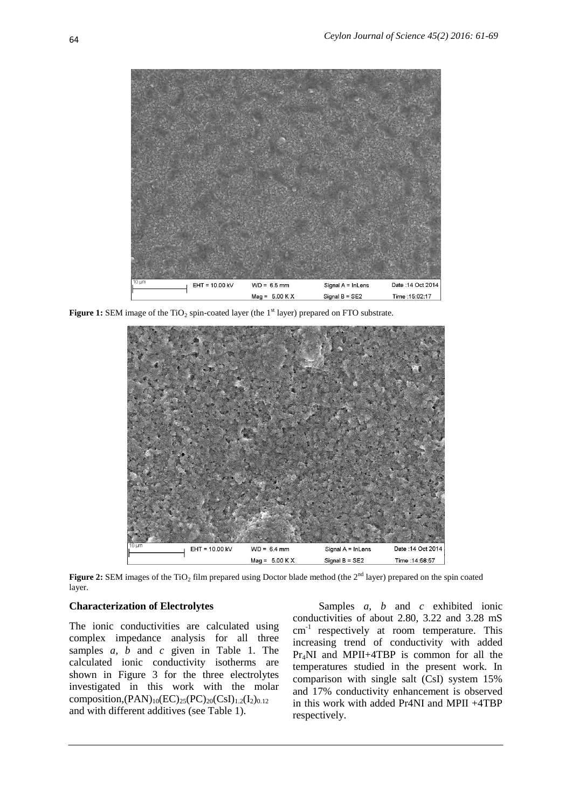

**Figure 1:** SEM image of the TiO<sub>2</sub> spin-coated layer (the 1<sup>st</sup> layer) prepared on FTO substrate.



Figure 2: SEM images of the TiO<sub>2</sub> film prepared using Doctor blade method (the 2<sup>nd</sup> layer) prepared on the spin coated layer.

### **Characterization of Electrolytes**

The ionic conductivities are calculated using complex impedance analysis for all three samples *a, b* and *c* given in Table 1. The calculated ionic conductivity isotherms are shown in Figure 3 for the three electrolytes investigated in this work with the molar composition, $(PAN)_{10}(EC)_{25}(PC)_{20}(CsI)_{1.2}(I_2)_{0.12}$ and with different additives (see Table 1).

Samples *a, b* and *c* exhibited ionic conductivities of about 2.80, 3.22 and 3.28 mS cm-1 respectively at room temperature. This increasing trend of conductivity with added Pr4NI and MPII+4TBP is common for all the temperatures studied in the present work. In comparison with single salt (CsI) system 15% and 17% conductivity enhancement is observed in this work with added Pr4NI and MPII +4TBP respectively.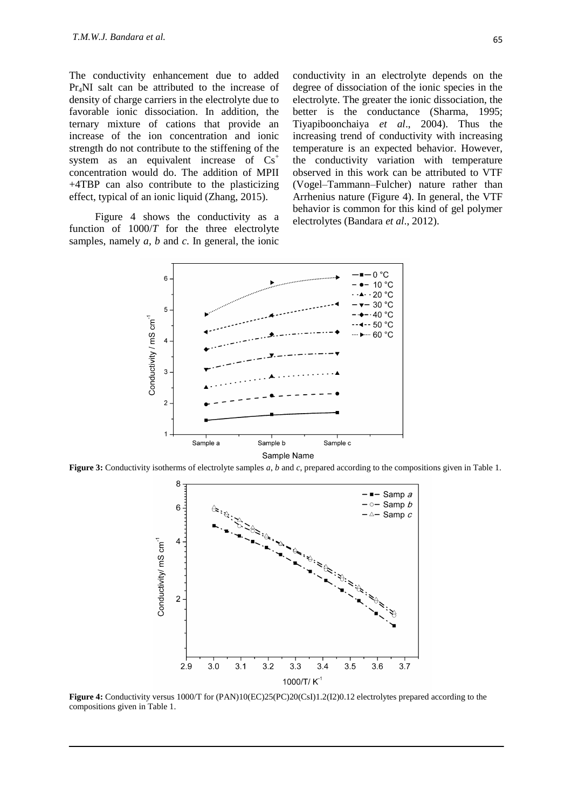The conductivity enhancement due to added Pr4NI salt can be attributed to the increase of density of charge carriers in the electrolyte due to favorable ionic dissociation. In addition, the ternary mixture of cations that provide an increase of the ion concentration and ionic strength do not contribute to the stiffening of the system as an equivalent increase of  $Cs<sup>+</sup>$ concentration would do. The addition of MPII +4TBP can also contribute to the plasticizing effect, typical of an ionic liquid (Zhang, 2015).

Figure 4 shows the conductivity as a function of 1000/*T* for the three electrolyte samples, namely *a, b* and *c*. In general, the ionic conductivity in an electrolyte depends on the degree of dissociation of the ionic species in the electrolyte. The greater the ionic dissociation, the better is the conductance (Sharma, 1995; Tiyapiboonchaiya *et al*., 2004). Thus the increasing trend of conductivity with increasing temperature is an expected behavior. However, the conductivity variation with temperature observed in this work can be attributed to VTF (Vogel–Tammann–Fulcher) nature rather than Arrhenius nature (Figure 4). In general, the VTF behavior is common for this kind of gel polymer electrolytes (Bandara *et al*., 2012).



**Figure 3:** Conductivity isotherms of electrolyte samples *a*, *b* and *c*, prepared according to the compositions given in Table 1.



**Figure 4:** Conductivity versus 1000/T for (PAN)10(EC)25(PC)20(CsI)1.2(I2)0.12 electrolytes prepared according to the compositions given in Table 1.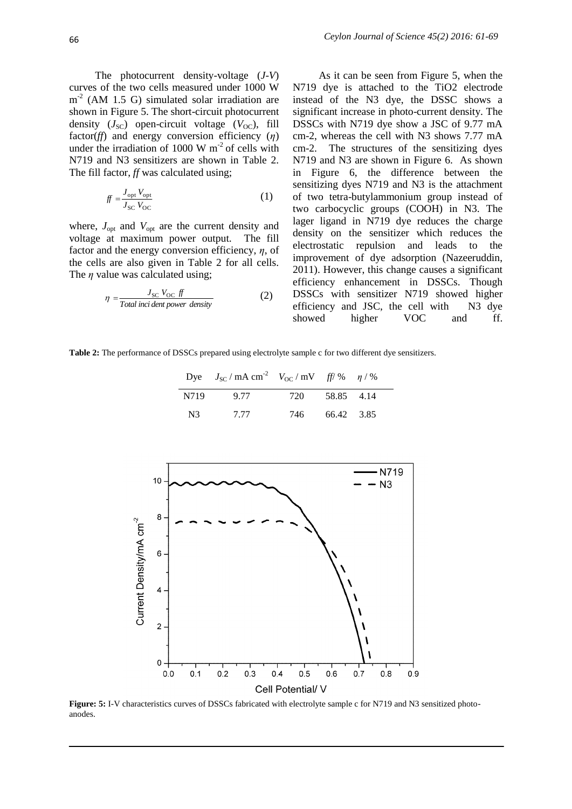The photocurrent density-voltage (*J*-*V*) curves of the two cells measured under 1000 W m<sup>-2</sup> (AM 1.5 G) simulated solar irradiation are shown in Figure 5. The short-circuit photocurrent density  $(J_{\rm SC})$  open-circuit voltage  $(V_{\rm OC})$ , fill factor(*ff*) and energy conversion efficiency (*η*) under the irradiation of 1000 W  $m<sup>2</sup>$  of cells with N719 and N3 sensitizers are shown in Table 2. The fill factor, *ff* was calculated using;

$$
f f = \frac{J_{\text{opt}} V_{\text{opt}}}{J_{\text{SC}} V_{\text{OC}}}
$$
 (1)

where,  $J_{\text{opt}}$  and  $V_{\text{opt}}$  are the current density and voltage at maximum power output. The fill factor and the energy conversion efficiency, *η*, of the cells are also given in Table 2 for all cells. The *η* value was calculated using;

$$
\eta = \frac{J_{\rm SC} V_{\rm OC} f f}{\text{Total inci dent power density}}
$$
\n(2)

As it can be seen from Figure 5, when the N719 dye is attached to the TiO2 electrode instead of the N3 dye, the DSSC shows a significant increase in photo-current density. The DSSCs with N719 dye show a JSC of 9.77 mA cm-2, whereas the cell with N3 shows 7.77 mA cm-2. The structures of the sensitizing dyes N719 and N3 are shown in Figure 6. As shown in Figure 6, the difference between the sensitizing dyes N719 and N3 is the attachment of two tetra-butylammonium group instead of two carbocyclic groups (COOH) in N3. The lager ligand in N719 dye reduces the charge density on the sensitizer which reduces the electrostatic repulsion and leads to the improvement of dye adsorption (Nazeeruddin, 2011). However, this change causes a significant efficiency enhancement in DSSCs. Though DSSCs with sensitizer N719 showed higher efficiency and JSC, the cell with N3 dye showed higher VOC and ff.

**Table 2:** The performance of DSSCs prepared using electrolyte sample c for two different dye sensitizers.

|      | Dye $J_{SC}/mA \text{ cm}^2$ $V_{OC}/mV$ ff/% $\eta$ /% |       |            |  |
|------|---------------------------------------------------------|-------|------------|--|
| N719 | 9.77                                                    | 720   | 58.85 4.14 |  |
| N3   | 7.77                                                    | 746 — | 66.42 3.85 |  |



**Figure: 5:** I-V characteristics curves of DSSCs fabricated with electrolyte sample c for N719 and N3 sensitized photoanodes.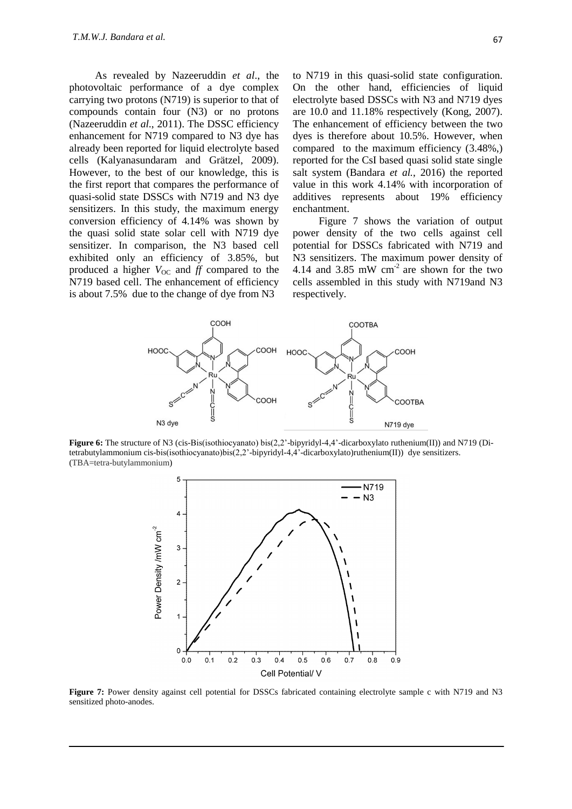As revealed by Nazeeruddin *et al*., the photovoltaic performance of a dye complex carrying two protons (N719) is superior to that of compounds contain four (N3) or no protons (Nazeeruddin *et al.*, 2011). The DSSC efficiency enhancement for N719 compared to N3 dye has already been reported for liquid electrolyte based cells (Kalyanasundaram and Grätzel, 2009). However, to the best of our knowledge, this is the first report that compares the performance of quasi-solid state DSSCs with N719 and N3 dye sensitizers. In this study, the maximum energy conversion efficiency of 4.14% was shown by the quasi solid state solar cell with N719 dye sensitizer. In comparison, the N3 based cell exhibited only an efficiency of 3.85%, but produced a higher  $V_{\text{OC}}$  and *ff* compared to the N719 based cell. The enhancement of efficiency is about 7.5% due to the change of dye from N3

to N719 in this quasi-solid state configuration. On the other hand, efficiencies of liquid electrolyte based DSSCs with N3 and N719 dyes are 10.0 and 11.18% respectively (Kong, 2007). The enhancement of efficiency between the two dyes is therefore about 10.5%. However, when compared to the maximum efficiency (3.48%,) reported for the CsI based quasi solid state single salt system (Bandara *et al.*, 2016) the reported value in this work 4.14% with incorporation of additives represents about 19% efficiency enchantment.

Figure 7 shows the variation of output power density of the two cells against cell potential for DSSCs fabricated with N719 and N3 sensitizers. The maximum power density of 4.14 and 3.85 mW cm-2 are shown for the two cells assembled in this study with N719and N3 respectively.



**Figure 6:** The structure of N3 (cis-Bis(isothiocyanato) bis(2,2'-bipyridyl-4,4'-dicarboxylato ruthenium(II)) and N719 (Ditetrabutylammonium cis-bis(isothiocyanato)bis(2,2'-bipyridyl-4,4'-dicarboxylato)ruthenium(II)) dye sensitizers. (TBA=tetra-butylammonium)



**Figure 7:** Power density against cell potential for DSSCs fabricated containing electrolyte sample c with N719 and N3 sensitized photo-anodes.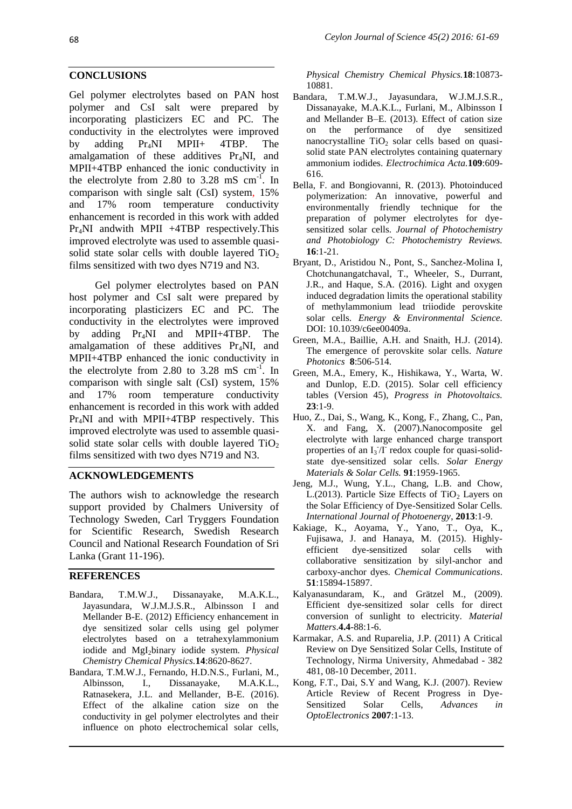#### **CONCLUSIONS**

Gel polymer electrolytes based on PAN host polymer and CsI salt were prepared by incorporating plasticizers EC and PC. The conductivity in the electrolytes were improved by adding Pr4NI MPII+ 4TBP. The amalgamation of these additives  $Pr_A NI$ , and MPII+4TBP enhanced the ionic conductivity in the electrolyte from 2.80 to 3.28 mS  $cm^{-1}$ . In comparison with single salt (CsI) system, 15% and 17% room temperature conductivity enhancement is recorded in this work with added Pr4NI andwith MPII +4TBP respectively.This improved electrolyte was used to assemble quasisolid state solar cells with double layered  $TiO<sub>2</sub>$ films sensitized with two dyes N719 and N3.

Gel polymer electrolytes based on PAN host polymer and CsI salt were prepared by incorporating plasticizers EC and PC. The conductivity in the electrolytes were improved by adding Pr4NI and MPII+4TBP. The amalgamation of these additives Pr4NI, and MPII+4TBP enhanced the ionic conductivity in the electrolyte from 2.80 to 3.28 mS  $cm^{-1}$ . In comparison with single salt (CsI) system, 15% and 17% room temperature conductivity enhancement is recorded in this work with added Pr4NI and with MPII+4TBP respectively. This improved electrolyte was used to assemble quasisolid state solar cells with double layered  $TiO<sub>2</sub>$ films sensitized with two dyes N719 and N3.

## **ACKNOWLEDGEMENTS**

The authors wish to acknowledge the research support provided by Chalmers University of Technology Sweden, Carl Tryggers Foundation for Scientific Research, Swedish Research Council and National Research Foundation of Sri Lanka (Grant 11-196).

## **REFERENCES**

- Bandara, T.M.W.J., Dissanayake, M.A.K.L., Jayasundara, W.J.M.J.S.R., Albinsson I and Mellander B-E. (2012) Efficiency enhancement in dye sensitized solar cells using gel polymer electrolytes based on a tetrahexylammonium iodide and MgI<sub>2</sub>binary iodide system. *Physical Chemistry Chemical Physics.***14**:8620-8627.
- Bandara, T.M.W.J., Fernando, H.D.N.S., Furlani, M., Albinsson, I., Dissanayake, M.A.K.L., Ratnasekera, J.L. and Mellander, B-E. (2016). Effect of the alkaline cation size on the conductivity in gel polymer electrolytes and their influence on photo electrochemical solar cells,

*Physical Chemistry Chemical Physics.***18**:10873- 10881.

- Bandara, T.M.W.J., Jayasundara, W.J.M.J.S.R., Dissanayake, M.A.K.L., Furlani, M., Albinsson I and Mellander B–E. (2013). Effect of cation size on the performance of dye sensitized nanocrystalline  $TiO<sub>2</sub>$  solar cells based on quasisolid state PAN electrolytes containing quaternary ammonium iodides. *Electrochimica Acta.***109**:609- 616.
- Bella, F. and Bongiovanni, R. (2013). Photoinduced polymerization: An innovative, powerful and environmentally friendly technique for the preparation of polymer electrolytes for dyesensitized solar cells. *Journal of Photochemistry and Photobiology C: Photochemistry Reviews.*  **16**:1-21.
- Bryant, D., Aristidou N., Pont, S., Sanchez-Molina I, Chotchunangatchaval, T., Wheeler, S., Durrant, J.R., and Haque, S.A. (2016). Light and oxygen induced degradation limits the operational stability of methylammonium lead triiodide perovskite solar cells. *Energy & Environmental Science.* DOI: 10.1039/c6ee00409a.
- Green, M.A., Baillie, A.H. and Snaith, H.J. (2014). The emergence of perovskite solar cells. *Nature Photonics* **8**:506-514.
- Green, M.A., Emery, K., Hishikawa, Y., Warta, W. and Dunlop, E.D. (2015). Solar cell efficiency tables (Version 45), *Progress in Photovoltaics.* **23**:1-9.
- Huo, Z., Dai, S., Wang, K., Kong, F., Zhang, C., Pan, X. and Fang, X. (2007).Nanocomposite gel electrolyte with large enhanced charge transport properties of an  $I_3/I$  redox couple for quasi-solidstate dye-sensitized solar cells. *Solar Energy Materials & Solar Cells.* **91**:1959-1965.
- Jeng, M.J., Wung, Y.L., Chang, L.B. and Chow, L.(2013). Particle Size Effects of  $TiO<sub>2</sub>$  Layers on the Solar Efficiency of Dye-Sensitized Solar Cells. *International Journal of Photoenergy*, **2013**:1-9.
- Kakiage, K., Aoyama, Y., Yano, T., Oya, K., Fujisawa, J. and Hanaya, M. (2015). Highlyefficient dye-sensitized solar cells with collaborative sensitization by silyl-anchor and carboxy-anchor dyes. *Chemical Communications*. **51**:15894-15897.
- Kalyanasundaram, K., and Grätzel M., (2009). Efficient dye-sensitized solar cells for direct conversion of sunlight to electricity. *Material Matters*.**4.4**-88:1-6.
- Karmakar, A.S. and Ruparelia, J.P. (2011) A Critical Review on Dye Sensitized Solar Cells, Institute of Technology, Nirma University, Ahmedabad - 382 481, 08-10 December, 2011.
- Kong, F.T., Dai, S.Y and Wang, K.J. (2007). Review Article Review of Recent Progress in Dye-Sensitized Solar Cells, *Advances in OptoElectronics* **2007**:1-13.